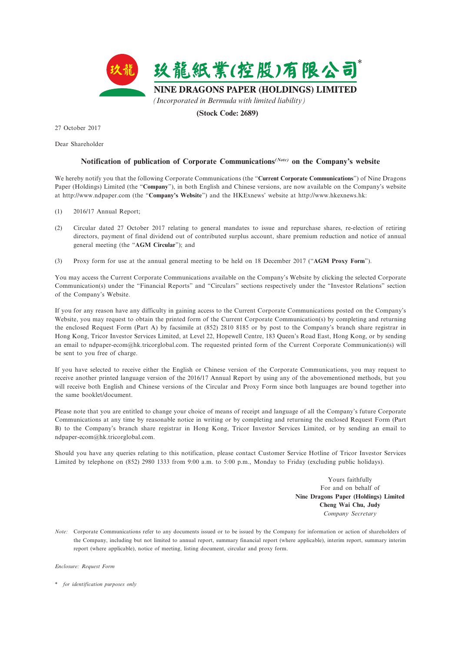

27 October 2017

Dear Shareholder

## **Notification of publication of Corporate Communications***(Note)* **on the Company's website**

We hereby notify you that the following Corporate Communications (the "**Current Corporate Communications**") of Nine Dragons Paper (Holdings) Limited (the "**Company**"), in both English and Chinese versions, are now available on the Company's website at http://www.ndpaper.com (the "**Company's Website**") and the HKExnews' website at http://www.hkexnews.hk:

- (1) 2016/17 Annual Report;
- (2) Circular dated 27 October 2017 relating to general mandates to issue and repurchase shares, re-election of retiring directors, payment of final dividend out of contributed surplus account, share premium reduction and notice of annual general meeting (the "**AGM Circular**"); and
- (3) Proxy form for use at the annual general meeting to be held on 18 December 2017 ("**AGM Proxy Form**").

You may access the Current Corporate Communications available on the Company's Website by clicking the selected Corporate Communication(s) under the "Financial Reports" and "Circulars" sections respectively under the "Investor Relations" section of the Company's Website.

If you for any reason have any difficulty in gaining access to the Current Corporate Communications posted on the Company's Website, you may request to obtain the printed form of the Current Corporate Communication(s) by completing and returning the enclosed Request Form (Part A) by facsimile at (852) 2810 8185 or by post to the Company's branch share registrar in Hong Kong, Tricor Investor Services Limited, at Level 22, Hopewell Centre, 183 Queen's Road East, Hong Kong, or by sending an email to ndpaper-ecom@hk.tricorglobal.com. The requested printed form of the Current Corporate Communication(s) will be sent to you free of charge.

If you have selected to receive either the English or Chinese version of the Corporate Communications, you may request to receive another printed language version of the 2016/17 Annual Report by using any of the abovementioned methods, but you will receive both English and Chinese versions of the Circular and Proxy Form since both languages are bound together into the same booklet/document.

Please note that you are entitled to change your choice of means of receipt and language of all the Company's future Corporate Communications at any time by reasonable notice in writing or by completing and returning the enclosed Request Form (Part B) to the Company's branch share registrar in Hong Kong, Tricor Investor Services Limited, or by sending an email to ndpaper-ecom@hk.tricorglobal.com.

Should you have any queries relating to this notification, please contact Customer Service Hotline of Tricor Investor Services Limited by telephone on (852) 2980 1333 from 9:00 a.m. to 5:00 p.m., Monday to Friday (excluding public holidays).

> Yours faithfully For and on behalf of **Nine Dragons Paper (Holdings) Limited Cheng Wai Chu, Judy** *Company Secretary*

*Note:* Corporate Communications refer to any documents issued or to be issued by the Company for information or action of shareholders of the Company, including but not limited to annual report, summary financial report (where applicable), interim report, summary interim report (where applicable), notice of meeting, listing document, circular and proxy form.

*Enclosure: Request Form*

\* *for identification purposes only*